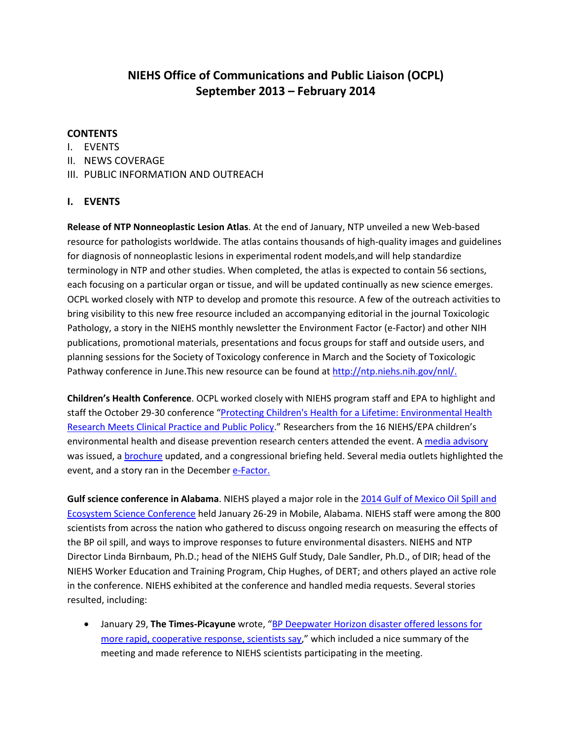# **NIEHS Office of Communications and Public Liaison (OCPL) September 2013 – February 2014**

# **CONTENTS**

- I. EVENTS
- II. NEWS COVERAGE
- III. PUBLIC INFORMATION AND OUTREACH

# **I. EVENTS**

 terminology in NTP and other studies. When completed, the atlas is expected to contain 56 sections, each focusing on a particular organ or tissue, and will be updated continually as new science emerges. bring visibility to this new free resource included an accompanying editorial in the journal Toxicologic Pathology, a story in the NIEHS monthly newsletter the Environment Factor (e-Factor) and other NIH planning sessions for the Society of Toxicology conference in March and the Society of Toxicologic **Release of NTP Nonneoplastic Lesion Atlas**. At the end of January, NTP unveiled a new Web-based resource for pathologists worldwide. The atlas contains thousands of high-quality images and guidelines for diagnosis of nonneoplastic lesions in experimental rodent models,and will help standardize OCPL worked closely with NTP to develop and promote this resource. A few of the outreach activities to publications, promotional materials, presentations and focus groups for staff and outside users, and Pathway conference in June.This new resource can be found at [http://ntp.niehs.nih.gov/nnl/.](http://ntp.niehs.nih.gov/nnl/)

 **Children's Health Conference**. OCPL worked closely with NIEHS program staff and EPA to highlight and [Research Meets Clinical Practice and Public Policy.](http://www.scgcorp.com/PCH2013/index.asp)" Researchers from the 16 NIEHS/EPA children's environmental health and disease prevention research centers attended the event. A media advisory was issued, a *brochure* updated, and a congressional briefing held. Several media outlets highlighted the event, and a story ran in the December **e-Factor.** staff the October 29-30 conference ["Protecting Children's Health for a Lifetime: Environmental Health](http://www.scgcorp.com/PCH2013/index.asp) 

 **Gulf science conference in Alabama**. NIEHS played a major role in the [2014 Gulf of Mexico Oil Spill and](http://gulfofmexicoconference.org/)  [Ecosystem Science Conference](http://gulfofmexicoconference.org/) held January 26-29 in Mobile, Alabama. NIEHS staff were among the 800 scientists from across the nation who gathered to discuss ongoing research on measuring the effects of the BP oil spill, and ways to improve responses to future environmental disasters. NIEHS and NTP Director Linda Birnbaum, Ph.D.; head of the NIEHS Gulf Study, Dale Sandler, Ph.D., of DIR; head of the NIEHS Worker Education and Training Program, Chip Hughes, of DERT; and others played an active role in the conference. NIEHS exhibited at the conference and handled media requests. Several stories resulted, including:

• January 29, **The Times-Picayune** wrote, ["BP Deepwater Horizon disaster offered lessons for](http://www.nola.com/environment/index.ssf/2014/01/bp_deepwater_horizon_oil_spill_2.html)  [more rapid, cooperative response, scientists say,](http://www.nola.com/environment/index.ssf/2014/01/bp_deepwater_horizon_oil_spill_2.html)" which included a nice summary of the meeting and made reference to NIEHS scientists participating in the meeting.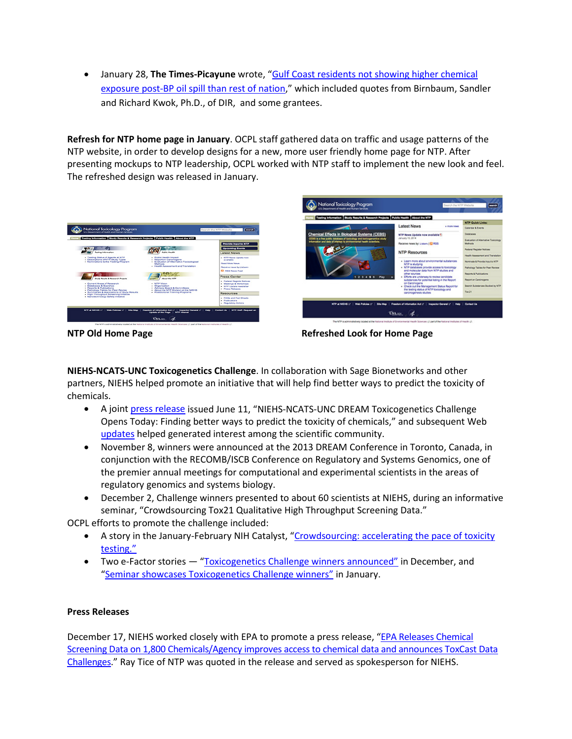• January 28, **The Times-Picayune** wrote, ["Gulf Coast residents not showing higher chemical](http://www.nola.com/environment/index.ssf/2014/01/human_health_and_the_bp_deepwa.html) [exposure post-BP oil spill than rest of nation,](http://www.nola.com/environment/index.ssf/2014/01/human_health_and_the_bp_deepwa.html)" which included quotes from Birnbaum, Sandler and Richard Kwok, Ph.D., of DIR, and some grantees.

 **Refresh for NTP home page in January**. OCPL staff gathered data on traffic and usage patterns of the The refreshed design was released in January. NTP website, in order to develop designs for a new, more user friendly home page for NTP. After presenting mockups to NTP leadership, OCPL worked with NTP staff to implement the new look and feel.





**NTP Old Home Page Refreshed Look for Home Page** 

 partners, NIEHS helped promote an initiative that will help find better ways to predict the toxicity of **NIEHS-NCATS-UNC Toxicogenetics Challenge**. In collaboration with Sage Bionetworks and other chemicals.

- A joint [press release i](http://www.businesswire.com/news/home/20130610006627/en/NIEHS-NCATS-UNC-DREAM-Toxicogenetics-Challenge-Opens-Today)ssued June 11, "NIEHS-NCATS-UNC DREAM Toxicogenetics Challenge Opens Today: Finding better ways to predict the toxicity of chemicals," and subsequent Web [updates](http://www.niehs.nih.gov/funding/challenges/index.cfm) helped generated interest among the scientific community.
- November 8, winners were announced at the 2013 DREAM Conference in Toronto, Canada, in conjunction with the RECOMB/ISCB Conference on Regulatory and Systems Genomics, one of the premier annual meetings for computational and experimental scientists in the areas of regulatory genomics and systems biology.
- seminar, "Crowdsourcing Tox21 Qualitative High Throughput Screening Data." • December 2, Challenge winners presented to about 60 scientists at NIEHS, during an informative

OCPL efforts to promote the challenge included:

- testing." • A story in the January-February NIH Catalyst, "Crowdsourcing: accelerating the pace of toxicity
- Two e-Factor stories ["Toxicogenetics Challenge winners announced"](http://www.niehs.nih.gov/news/newsletter/2013/12/science-challenge/index.htm) in December, and ["Seminar showcases Toxicogenetics Challenge winners"](http://www.niehs.nih.gov/news/newsletter/2014/1/science-challengewinners/index.htm) in January.

## **Press Releases**

December 17, NIEHS worked closely with EPA to promote a press release, "EPA Releases Chemical [Screening Data on 1,800 Chemicals/Agency improves access to chemical data and announces ToxCast Data](http://yosemite.epa.gov/opa/admpress.nsf/bd4379a92ceceeac8525735900400c27/38b102d67c6b9ee385257c4400732725!OpenDocument)  [Challenges.](http://yosemite.epa.gov/opa/admpress.nsf/bd4379a92ceceeac8525735900400c27/38b102d67c6b9ee385257c4400732725!OpenDocument)" Ray Tice of NTP was quoted in the release and served as spokesperson for NIEHS.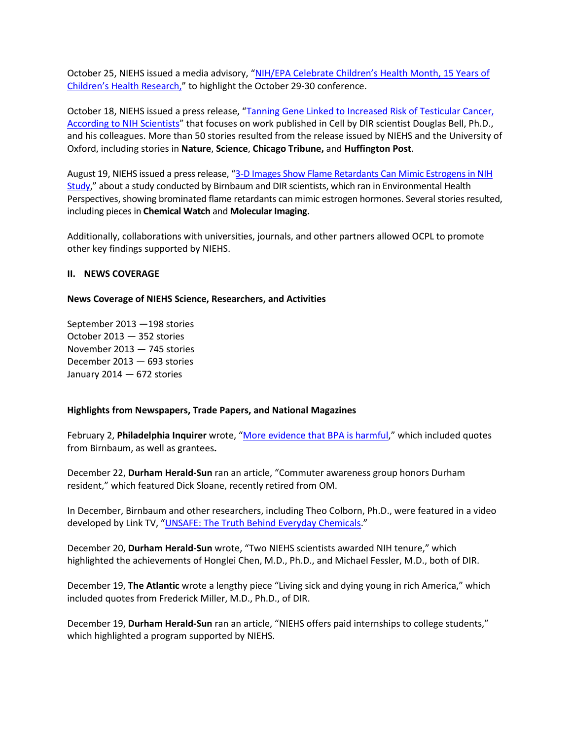October 25, NIEHS issued a media advisory, ["NIH/EPA Celebrate Children's Health Month, 15 Years of](http://www.niehs.nih.gov/news/newsroom/releases/2013/october25/index.cfm)  [Children's Health Research,](http://www.niehs.nih.gov/news/newsroom/releases/2013/october25/index.cfm)" to highlight the October 29-30 conference.

[According to NIH Scientists"](http://www.niehs.nih.gov/news/newsroom/releases/2013/october18/index.cfm) that focuses on work published in Cell by DIR scientist Douglas Bell, Ph.D., Oxford, including stories in **Nature**, **Science**, **Chicago Tribune,** and **Huffington Post**. October 18, NIEHS issued a press release, ["Tanning Gene Linked to Increased Risk of Testicular Cancer,](http://www.niehs.nih.gov/news/newsroom/releases/2013/october18/index.cfm)  and his colleagues. More than 50 stories resulted from the release issued by NIEHS and the University of

August 19, NIEHS issued a press release, "3-D Images Show Flame Retardants Can Mimic Estrogens in NIH [Study,](http://www.niehs.nih.gov/news/newsroom/releases/2013/august19/index.cfm)" about a study conducted by Birnbaum and DIR scientists, which ran in Environmental Health Perspectives, showing brominated flame retardants can mimic estrogen hormones. Several stories resulted,  including pieces in **Chemical Watch** and **Molecular Imaging.** 

Additionally, collaborations with universities, journals, and other partners allowed OCPL to promote other key findings supported by NIEHS.

## **II. NEWS COVERAGE**

#### **News Coverage of NIEHS Science, Researchers, and Activities**

 September 2013 —198 stories October 2013 — 352 stories November 2013 — 745 stories December 2013 — 693 stories January 2014 — 672 stories

## **Highlights from Newspapers, Trade Papers, and National Magazines**

February 2, Philadelphia Inquirer wrote, ["More evidence that BPA is harmful,](http://www.philly.com/philly/news/science/20140202_More_evidence_that_BPA_is_harmful.html)" which included quotes from Birnbaum, as well as grantees**.** 

 December 22, **Durham Herald-Sun** ran an article, "Commuter awareness group honors Durham resident," which featured Dick Sloane, recently retired from OM.

In December, Birnbaum and other researchers, including Theo Colborn, Ph.D., were featured in a video developed by Link TV, ["UNSAFE: The Truth Behind Everyday Chemicals.](http://www.linktv.org/video/9214/unsafe-the-truth-behind-everyday-chemicals)"

 highlighted the achievements of Honglei Chen, M.D., Ph.D., and Michael Fessler, M.D., both of DIR. December 20, **Durham Herald-Sun** wrote, "Two NIEHS scientists awarded NIH tenure," which

 included quotes from Frederick Miller, M.D., Ph.D., of DIR. December 19, **The Atlantic** wrote a lengthy piece "Living sick and dying young in rich America," which

December 19, **Durham Herald-Sun** ran an article, "NIEHS offers paid internships to college students," which highlighted a program supported by NIEHS.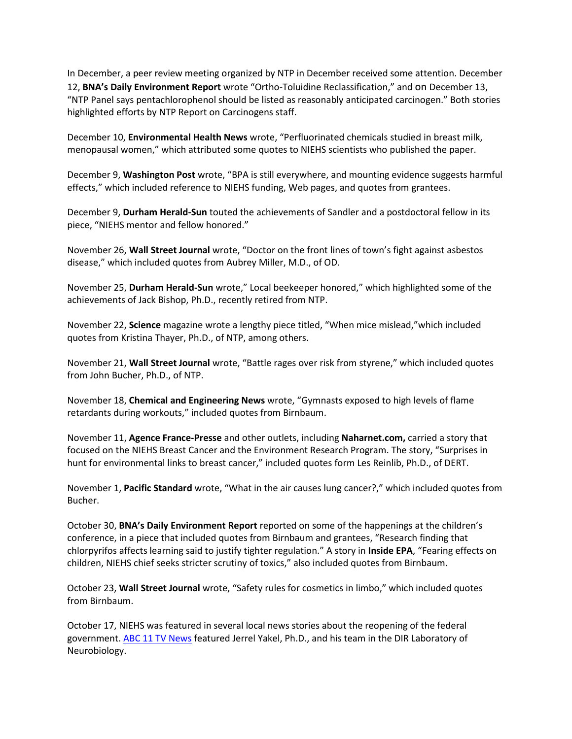In December, a peer review meeting organized by NTP in December received some attention. December 12, **BNA's Daily Environment Report** wrote "Ortho-Toluidine Reclassification," and on December 13, "NTP Panel says pentachlorophenol should be listed as reasonably anticipated carcinogen." Both stories highlighted efforts by NTP Report on Carcinogens staff.

December 10, **Environmental Health News** wrote, "Perfluorinated chemicals studied in breast milk, menopausal women," which attributed some quotes to NIEHS scientists who published the paper.

December 9, **Washington Post** wrote, "BPA is still everywhere, and mounting evidence suggests harmful effects," which included reference to NIEHS funding, Web pages, and quotes from grantees.

 piece, "NIEHS mentor and fellow honored." December 9, **Durham Herald-Sun** touted the achievements of Sandler and a postdoctoral fellow in its

 November 26, **Wall Street Journal** wrote, "Doctor on the front lines of town's fight against asbestos disease," which included quotes from Aubrey Miller, M.D., of OD.

November 25, **Durham Herald-Sun** wrote," Local beekeeper honored," which highlighted some of the achievements of Jack Bishop, Ph.D., recently retired from NTP.

 November 22, **Science** magazine wrote a lengthy piece titled, "When mice mislead,"which included quotes from Kristina Thayer, Ph.D., of NTP, among others.

November 21, **Wall Street Journal** wrote, "Battle rages over risk from styrene," which included quotes from John Bucher, Ph.D., of NTP.

November 18, **Chemical and Engineering News** wrote, "Gymnasts exposed to high levels of flame retardants during workouts," included quotes from Birnbaum.

 November 11, **Agence France-Presse** and other outlets, including **Naharnet.com,** carried a story that focused on the NIEHS Breast Cancer and the Environment Research Program. The story, "Surprises in hunt for environmental links to breast cancer," included quotes form Les Reinlib, Ph.D., of DERT.

Bucher. November 1, **Pacific Standard** wrote, "What in the air causes lung cancer?," which included quotes from

 conference, in a piece that included quotes from Birnbaum and grantees, "Research finding that Bucher. October 30, **BNA's Daily Environment Report** reported on some of the happenings at the children's chlorpyrifos affects learning said to justify tighter regulation." A story in **Inside EPA**, "Fearing effects on children, NIEHS chief seeks stricter scrutiny of toxics," also included quotes from Birnbaum.

October 23, **Wall Street Journal** wrote, "Safety rules for cosmetics in limbo," which included quotes from Birnbaum.

October 17, NIEHS was featured in several local news stories about the reopening of the federal government. [ABC 11 TV News](http://abclocal.go.com/wtvd/video?id=9291376) featured Jerrel Yakel, Ph.D., and his team in the DIR Laboratory of Neurobiology.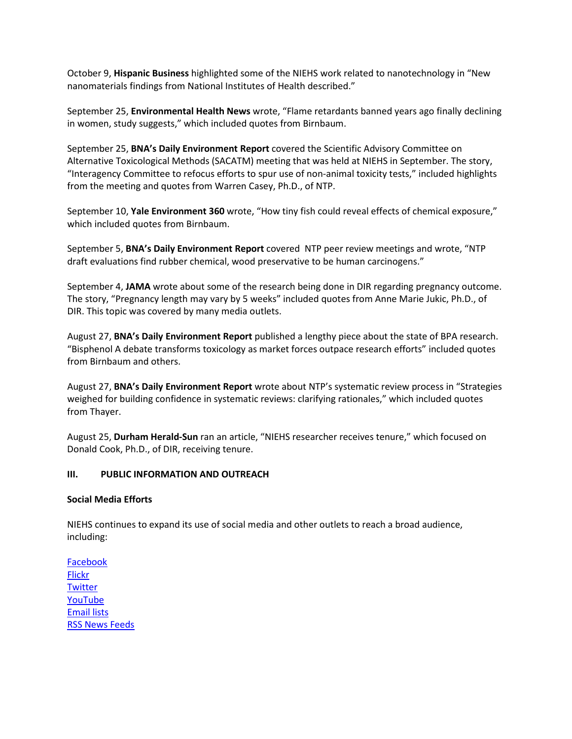October 9, **Hispanic Business** highlighted some of the NIEHS work related to nanotechnology in "New manomaterials findings from National Institutes of Health described."

September 25, **Environmental Health News** wrote, "Flame retardants banned years ago finally declining in women, study suggests," which included quotes from Birnbaum.

September 25, **BNA's Daily Environment Report** covered the Scientific Advisory Committee on Alternative Toxicological Methods (SACATM) meeting that was held at NIEHS in September. The story, "Interagency Committee to refocus efforts to spur use of non-animal toxicity tests," included highlights from the meeting and quotes from Warren Casey, Ph.D., of NTP.

 September 10, **Yale Environment 360** wrote, "How tiny fish could reveal effects of chemical exposure," which included quotes from Birnbaum.

September 5, **BNA's Daily Environment Report** covered NTP peer review meetings and wrote, "NTP draft evaluations find rubber chemical, wood preservative to be human carcinogens."

 September 4, **JAMA** wrote about some of the research being done in DIR regarding pregnancy outcome. DIR. This topic was covered by many media outlets. The story, "Pregnancy length may vary by 5 weeks" included quotes from Anne Marie Jukic, Ph.D., of

 August 27, **BNA's Daily Environment Report** published a lengthy piece about the state of BPA research. "Bisphenol A debate transforms toxicology as market forces outpace research efforts" included quotes from Birnbaum and others.

 August 27, **BNA's Daily Environment Report** wrote about NTP's systematic review process in "Strategies weighed for building confidence in systematic reviews: clarifying rationales," which included quotes from Thayer.

from Thayer.<br>August 25, **Durham Herald-Sun** ran an article, "NIEHS researcher receives tenure," which focused on Donald Cook, Ph.D., of DIR, receiving tenure.

## **III. PUBLIC INFORMATION AND OUTREACH**

#### **Social Media Efforts**

 NIEHS continues to expand its use of social media and other outlets to reach a broad audience, including:

Facebook **Flickr Twitter** YouTube **Email lists** RSS News Feeds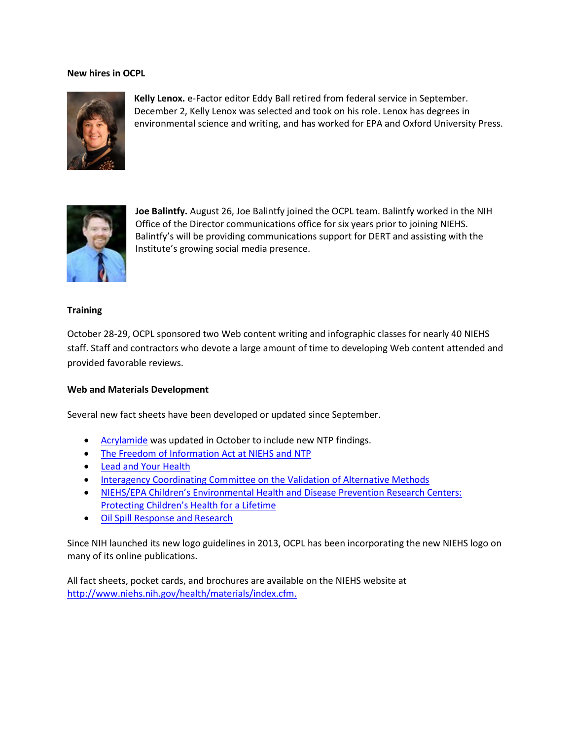#### **New hires in OCPL**



**Kelly Lenox.** e-Factor editor Eddy Ball retired from federal service in September. December 2, Kelly Lenox was selected and took on his role. Lenox has degrees in environmental science and writing, and has worked for EPA and Oxford University Press.



 **Joe Balintfy.** August 26, Joe Balintfy joined the OCPL team. Balintfy worked in the NIH Office of the Director communications office for six years prior to joining NIEHS. Balintfy's will be providing communications support for DERT and assisting with the Institute's growing social media presence.

#### **Training**

 October 28-29, OCPL sponsored two Web content writing and infographic classes for nearly 40 NIEHS staff. Staff and contractors who devote a large amount of time to developing Web content attended and  provided favorable reviews.

## **Web and Materials Development**

Several new fact sheets have been developed or updated since September.

- [Acrylamide](http://www.niehs.nih.gov/health/assets/docs_a_e/acrylamide_fact_sheet_508.pdf) was updated in October to include new NTP findings.
- [The Freedom of Information Act at NIEHS and NTP](http://www.niehs.nih.gov/health/materials/freedom_of_information_act_at_niehs_and_ntp_the_508.pdf)
- [Lead and Your Health](http://www.niehs.nih.gov/health/materials/lead_and_your_health_508.pdf)
- **Interagency Coordinating Committee on the Validation of Alternative Methods**
- [NIEHS/EPA Children's Environmental Health and Disease Prevention Research Centers:](http://www.niehs.nih.gov/health/assets/docs_f_o/niehsepa_childrens_environmental_health_and_disease_prevention_research_centers_508.pdf) [Protecting Children's Health for a Lifetime](http://www.niehs.nih.gov/health/assets/docs_f_o/niehsepa_childrens_environmental_health_and_disease_prevention_research_centers_508.pdf)
- [Oil Spill Response and Research](http://www.niehs.nih.gov/health/materials/freedom_of_information_act_at_niehs_and_ntp_the_508.pdf)

Since NIH launched its new logo guidelines in 2013, OCPL has been incorporating the new NIEHS logo on many of its online publications.

All fact sheets, pocket cards, and brochures are available on the NIEHS website at [http://www.niehs.nih.gov/health/materials/index.cfm.](http://www.niehs.nih.gov/health/materials/index.cfm)